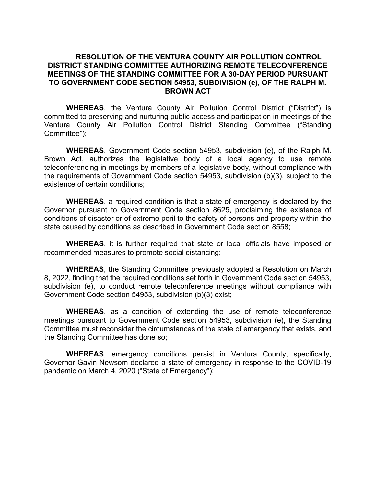## RESOLUTION OF THE VENTURA COUNTY AIR POLLUTION CONTROL DISTRICT STANDING COMMITTEE AUTHORIZING REMOTE TELECONFERENCE MEETINGS OF THE STANDING COMMITTEE FOR A 30-DAY PERIOD PURSUANT TO GOVERNMENT CODE SECTION 54953, SUBDIVISION (e), OF THE RALPH M. BROWN ACT

WHEREAS, the Ventura County Air Pollution Control District ("District") is committed to preserving and nurturing public access and participation in meetings of the Ventura County Air Pollution Control District Standing Committee ("Standing Committee");

WHEREAS, Government Code section 54953, subdivision (e), of the Ralph M. Brown Act, authorizes the legislative body of a local agency to use remote teleconferencing in meetings by members of a legislative body, without compliance with the requirements of Government Code section 54953, subdivision (b)(3), subject to the existence of certain conditions;

WHEREAS, a required condition is that a state of emergency is declared by the Governor pursuant to Government Code section 8625, proclaiming the existence of conditions of disaster or of extreme peril to the safety of persons and property within the state caused by conditions as described in Government Code section 8558;

WHEREAS, it is further required that state or local officials have imposed or recommended measures to promote social distancing;

WHEREAS, the Standing Committee previously adopted a Resolution on March 8, 2022, finding that the required conditions set forth in Government Code section 54953, subdivision (e), to conduct remote teleconference meetings without compliance with Government Code section 54953, subdivision (b)(3) exist;

WHEREAS, as a condition of extending the use of remote teleconference meetings pursuant to Government Code section 54953, subdivision (e), the Standing Committee must reconsider the circumstances of the state of emergency that exists, and the Standing Committee has done so;

WHEREAS, emergency conditions persist in Ventura County, specifically, Governor Gavin Newsom declared a state of emergency in response to the COVID-19 pandemic on March 4, 2020 ("State of Emergency");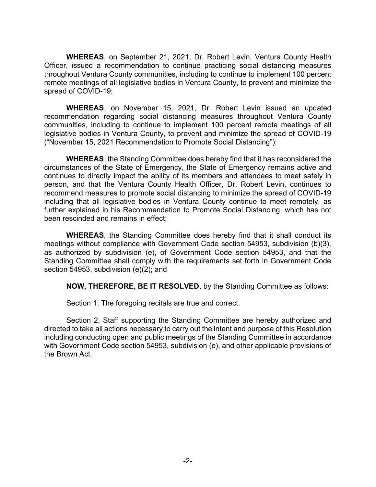WHEREAS, on September 21, 2021, Dr. Robert Levin, Ventura County Health Officer, issued a recommendation to continue practicing social distancing measures throughout Ventura County communities, including to continue to implement 100 percent remote meetings of all legislative bodies in Ventura County, to prevent and minimize the spread of COVID-19;

WHEREAS, on November 15, 2021, Dr. Robert Levin issued an updated recommendation regarding social distancing measures throughout Ventura County communities, including to continue to implement 100 percent remote meetings of all legislative bodies in Ventura County, to prevent and minimize the spread of COVID-19 ("November 15, 2021 Recommendation to Promote Social Distancing");

WHEREAS, the Standing Committee does hereby find that it has reconsidered the circumstances of the State of Emergency, the State of Emergency remains active and continues to directly impact the ability of its members and attendees to meet safely in person, and that the Ventura County Health Officer, Dr. Robert Levin, continues to recommend measures to promote social distancing to minimize the spread of COVID-19 including that all legislative bodies in Ventura County continue to meet remotely, as further explained in his Recommendation to Promote Social Distancing, which has not been rescinded and remains in effect;

WHEREAS, the Standing Committee does hereby find that it shall conduct its meetings without compliance with Government Code section 54953, subdivision (b)(3), as authorized by subdivision (e), of Government Code section 54953, and that the Standing Committee shall comply with the requirements set forth in Government Code section 54953, subdivision (e)(2); and

NOW, THEREFORE, BE IT RESOLVED, by the Standing Committee as follows:

Section 1. The foregoing recitals are true and correct.

Section 2. Staff supporting the Standing Committee are hereby authorized and directed to take all actions necessary to carry out the intent and purpose of this Resolution including conducting open and public meetings of the Standing Committee in accordance with Government Code section 54953, subdivision (e), and other applicable provisions of the Brown Act.